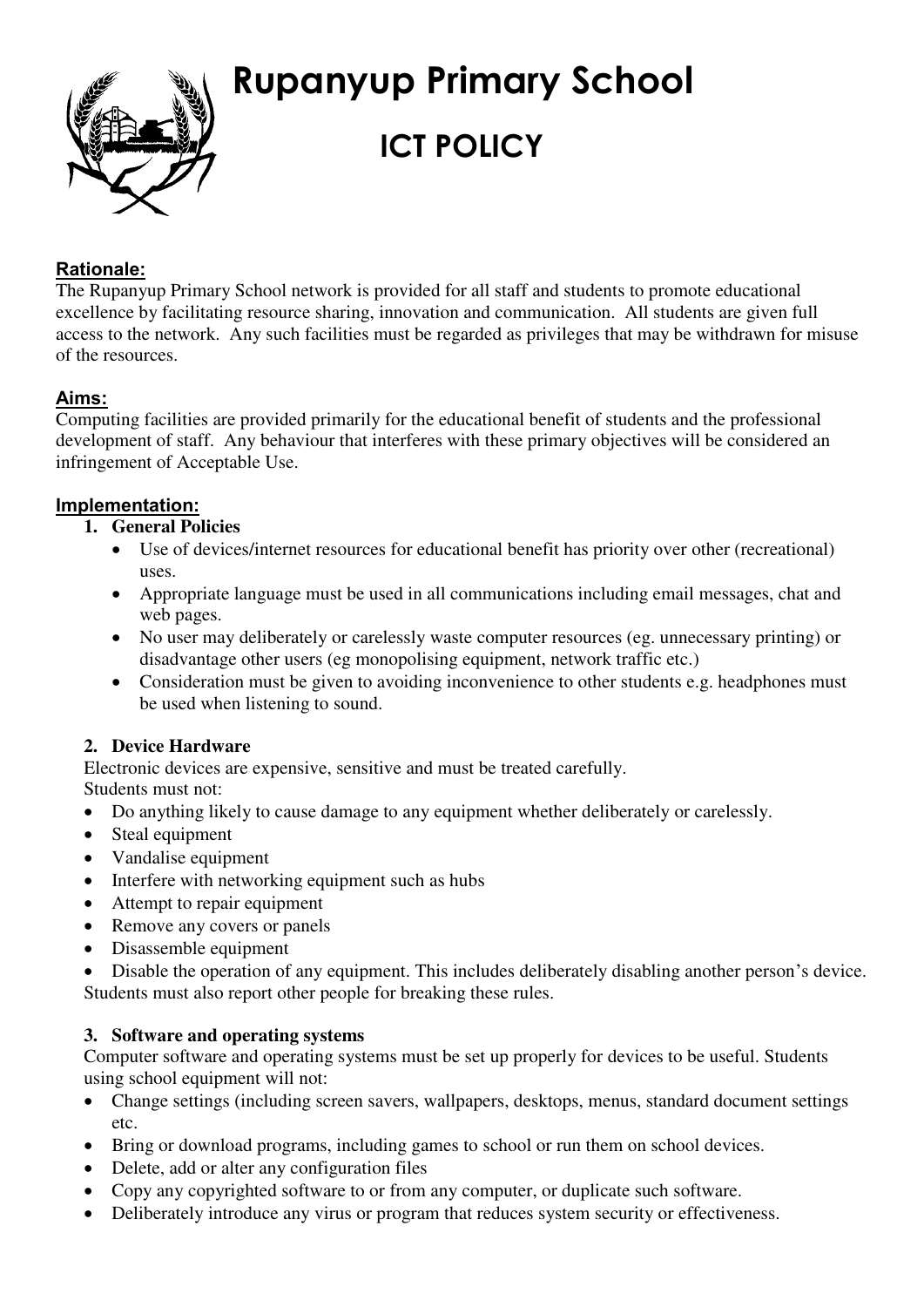

# **Rupanyup Primary School ICT POLICY**

# **Rationale:**

The Rupanyup Primary School network is provided for all staff and students to promote educational excellence by facilitating resource sharing, innovation and communication. All students are given full access to the network. Any such facilities must be regarded as privileges that may be withdrawn for misuse of the resources.

# **Aims:**

Computing facilities are provided primarily for the educational benefit of students and the professional development of staff. Any behaviour that interferes with these primary objectives will be considered an infringement of Acceptable Use.

# **Implementation:**

- **1. General Policies** 
	- Use of devices/internet resources for educational benefit has priority over other (recreational) uses.
	- Appropriate language must be used in all communications including email messages, chat and web pages.
	- No user may deliberately or carelessly waste computer resources (eg. unnecessary printing) or disadvantage other users (eg monopolising equipment, network traffic etc.)
	- Consideration must be given to avoiding inconvenience to other students e.g. headphones must be used when listening to sound.

# **2. Device Hardware**

Electronic devices are expensive, sensitive and must be treated carefully.

- Students must not:
- Do anything likely to cause damage to any equipment whether deliberately or carelessly.
- Steal equipment
- Vandalise equipment
- Interfere with networking equipment such as hubs
- Attempt to repair equipment
- Remove any covers or panels
- Disassemble equipment

 Disable the operation of any equipment. This includes deliberately disabling another person's device. Students must also report other people for breaking these rules.

# **3. Software and operating systems**

Computer software and operating systems must be set up properly for devices to be useful. Students using school equipment will not:

- Change settings (including screen savers, wallpapers, desktops, menus, standard document settings etc.
- Bring or download programs, including games to school or run them on school devices.
- Delete, add or alter any configuration files
- Copy any copyrighted software to or from any computer, or duplicate such software.
- Deliberately introduce any virus or program that reduces system security or effectiveness.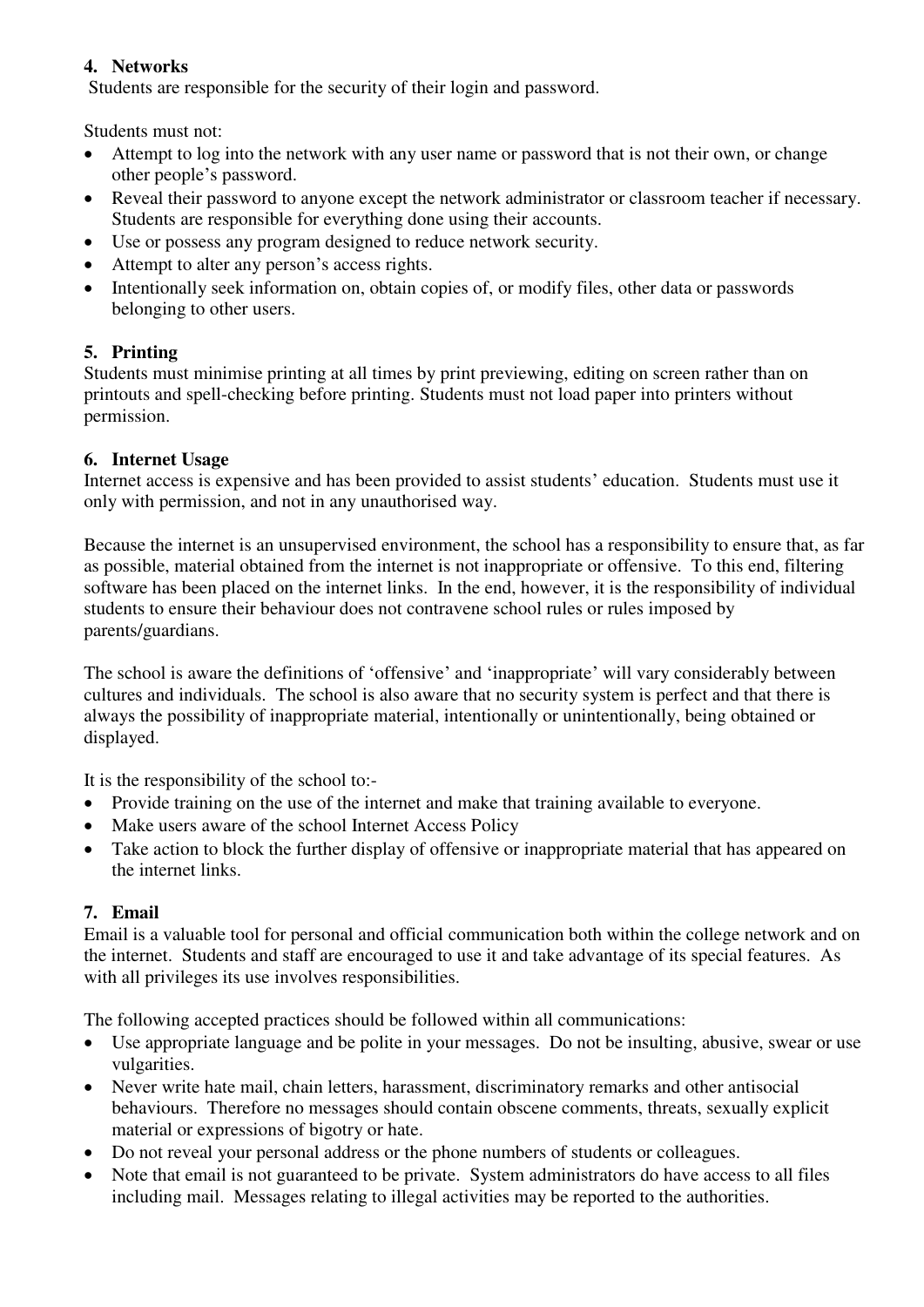## **4. Networks**

Students are responsible for the security of their login and password.

Students must not:

- Attempt to log into the network with any user name or password that is not their own, or change other people's password.
- Reveal their password to anyone except the network administrator or classroom teacher if necessary. Students are responsible for everything done using their accounts.
- Use or possess any program designed to reduce network security.
- Attempt to alter any person's access rights.
- Intentionally seek information on, obtain copies of, or modify files, other data or passwords belonging to other users.

# **5. Printing**

Students must minimise printing at all times by print previewing, editing on screen rather than on printouts and spell-checking before printing. Students must not load paper into printers without permission.

### **6. Internet Usage**

Internet access is expensive and has been provided to assist students' education. Students must use it only with permission, and not in any unauthorised way.

Because the internet is an unsupervised environment, the school has a responsibility to ensure that, as far as possible, material obtained from the internet is not inappropriate or offensive. To this end, filtering software has been placed on the internet links. In the end, however, it is the responsibility of individual students to ensure their behaviour does not contravene school rules or rules imposed by parents/guardians.

The school is aware the definitions of 'offensive' and 'inappropriate' will vary considerably between cultures and individuals. The school is also aware that no security system is perfect and that there is always the possibility of inappropriate material, intentionally or unintentionally, being obtained or displayed.

It is the responsibility of the school to:-

- Provide training on the use of the internet and make that training available to everyone.
- Make users aware of the school Internet Access Policy
- Take action to block the further display of offensive or inappropriate material that has appeared on the internet links.

#### **7. Email**

Email is a valuable tool for personal and official communication both within the college network and on the internet. Students and staff are encouraged to use it and take advantage of its special features. As with all privileges its use involves responsibilities.

The following accepted practices should be followed within all communications:

- Use appropriate language and be polite in your messages. Do not be insulting, abusive, swear or use vulgarities.
- Never write hate mail, chain letters, harassment, discriminatory remarks and other antisocial behaviours. Therefore no messages should contain obscene comments, threats, sexually explicit material or expressions of bigotry or hate.
- Do not reveal your personal address or the phone numbers of students or colleagues.
- Note that email is not guaranteed to be private. System administrators do have access to all files including mail. Messages relating to illegal activities may be reported to the authorities.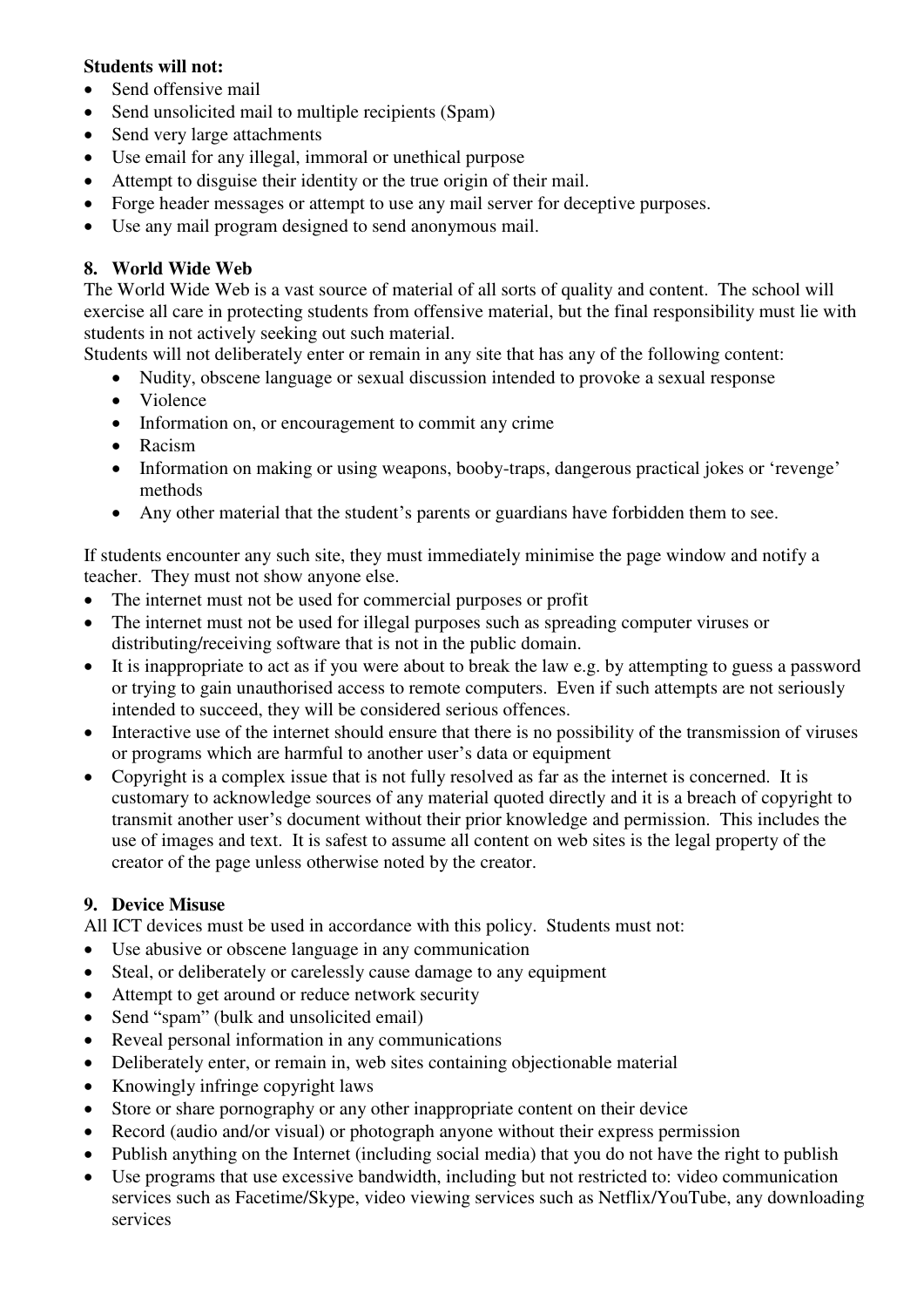#### **Students will not:**

- Send offensive mail
- Send unsolicited mail to multiple recipients (Spam)
- Send very large attachments
- Use email for any illegal, immoral or unethical purpose
- Attempt to disguise their identity or the true origin of their mail.
- Forge header messages or attempt to use any mail server for deceptive purposes.
- Use any mail program designed to send anonymous mail.

### **8. World Wide Web**

The World Wide Web is a vast source of material of all sorts of quality and content. The school will exercise all care in protecting students from offensive material, but the final responsibility must lie with students in not actively seeking out such material.

Students will not deliberately enter or remain in any site that has any of the following content:

- Nudity, obscene language or sexual discussion intended to provoke a sexual response
- Violence
- Information on, or encouragement to commit any crime
- Racism
- Information on making or using weapons, booby-traps, dangerous practical jokes or 'revenge' methods
- Any other material that the student's parents or guardians have forbidden them to see.

If students encounter any such site, they must immediately minimise the page window and notify a teacher. They must not show anyone else.

- The internet must not be used for commercial purposes or profit
- The internet must not be used for illegal purposes such as spreading computer viruses or distributing/receiving software that is not in the public domain.
- It is inappropriate to act as if you were about to break the law e.g. by attempting to guess a password or trying to gain unauthorised access to remote computers. Even if such attempts are not seriously intended to succeed, they will be considered serious offences.
- Interactive use of the internet should ensure that there is no possibility of the transmission of viruses or programs which are harmful to another user's data or equipment
- Copyright is a complex issue that is not fully resolved as far as the internet is concerned. It is customary to acknowledge sources of any material quoted directly and it is a breach of copyright to transmit another user's document without their prior knowledge and permission. This includes the use of images and text. It is safest to assume all content on web sites is the legal property of the creator of the page unless otherwise noted by the creator.

#### **9. Device Misuse**

All ICT devices must be used in accordance with this policy. Students must not:

- Use abusive or obscene language in any communication
- Steal, or deliberately or carelessly cause damage to any equipment
- Attempt to get around or reduce network security
- Send "spam" (bulk and unsolicited email)
- Reveal personal information in any communications
- Deliberately enter, or remain in, web sites containing objectionable material
- Knowingly infringe copyright laws
- Store or share pornography or any other inappropriate content on their device
- Record (audio and/or visual) or photograph anyone without their express permission
- Publish anything on the Internet (including social media) that you do not have the right to publish
- Use programs that use excessive bandwidth, including but not restricted to: video communication services such as Facetime/Skype, video viewing services such as Netflix/YouTube, any downloading services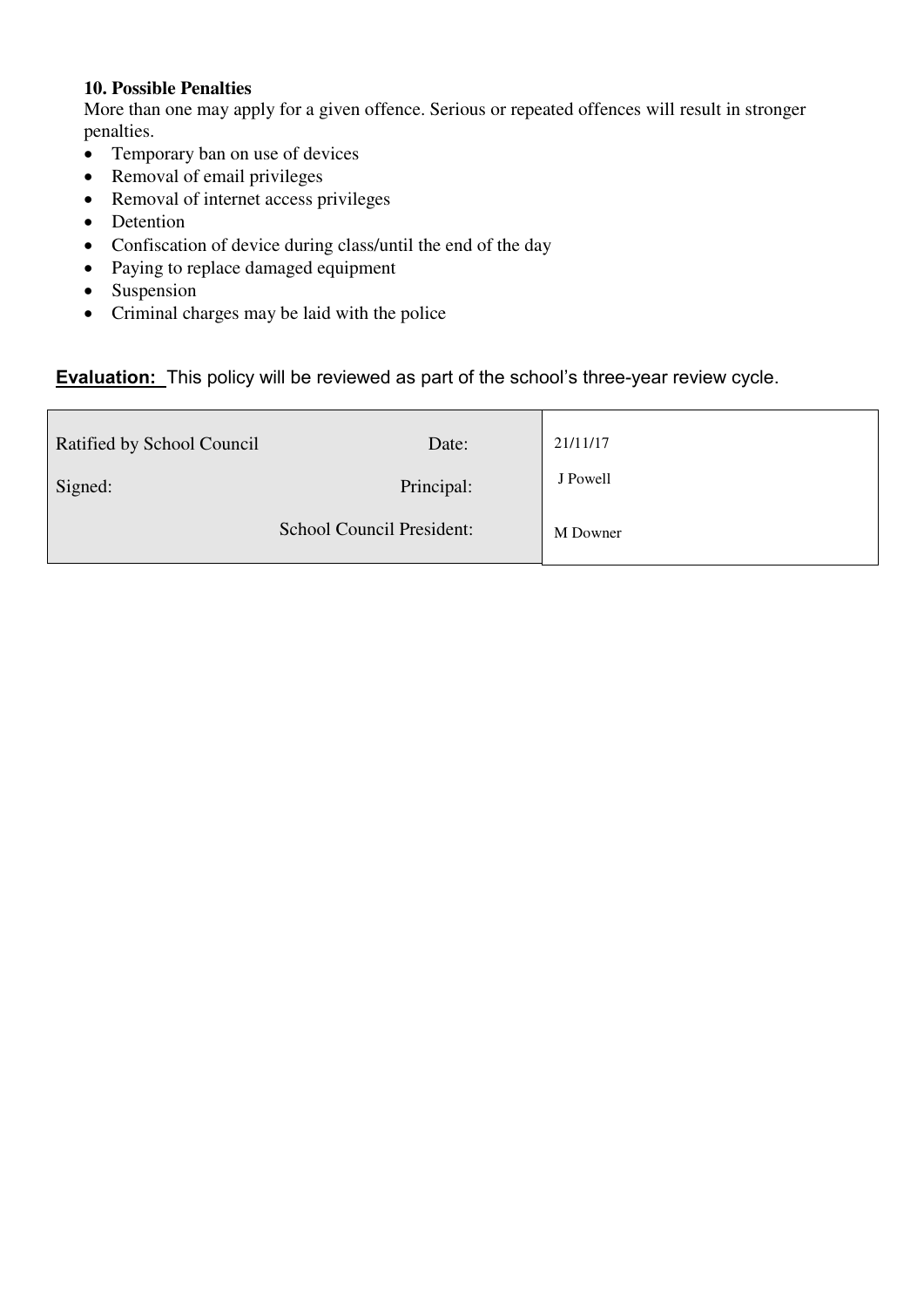#### **10. Possible Penalties**

More than one may apply for a given offence. Serious or repeated offences will result in stronger penalties.

- Temporary ban on use of devices
- Removal of email privileges
- Removal of internet access privileges
- Detention
- Confiscation of device during class/until the end of the day
- Paying to replace damaged equipment
- Suspension
- Criminal charges may be laid with the police

# **Evaluation:** This policy will be reviewed as part of the school's three-year review cycle.

| Ratified by School Council | Date:                     | 21/11/17 |
|----------------------------|---------------------------|----------|
| Signed:                    | Principal:                | J Powell |
|                            | School Council President: | M Downer |